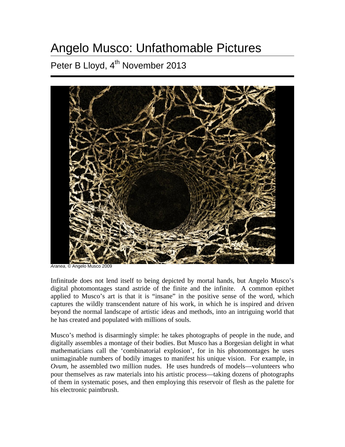## Angelo Musco: Unfathomable Pictures

Peter B Lloyd, 4<sup>th</sup> November 2013



*Aranea*, © Angelo Musco 2009

Infinitude does not lend itself to being depicted by mortal hands, but Angelo Musco's digital photomontages stand astride of the finite and the infinite. A common epithet applied to Musco's art is that it is "insane" in the positive sense of the word, which captures the wildly transcendent nature of his work, in which he is inspired and driven beyond the normal landscape of artistic ideas and methods, into an intriguing world that he has created and populated with millions of souls.

Musco's method is disarmingly simple: he takes photographs of people in the nude, and digitally assembles a montage of their bodies. But Musco has a Borgesian delight in what mathematicians call the 'combinatorial explosion', for in his photomontages he uses unimaginable numbers of bodily images to manifest his unique vision. For example, in *Ovum*, he assembled two million nudes. He uses hundreds of models—volunteers who pour themselves as raw materials into his artistic process—taking dozens of photographs of them in systematic poses, and then employing this reservoir of flesh as the palette for his electronic paintbrush.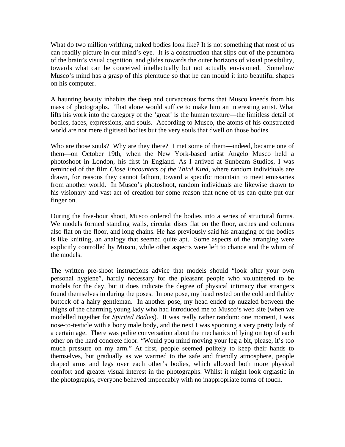What do two million writhing, naked bodies look like? It is not something that most of us can readily picture in our mind's eye. It is a construction that slips out of the penumbra of the brain's visual cognition, and glides towards the outer horizons of visual possibility, towards what can be conceived intellectually but not actually envisioned. Somehow Musco's mind has a grasp of this plenitude so that he can mould it into beautiful shapes on his computer.

A haunting beauty inhabits the deep and curvaceous forms that Musco kneeds from his mass of photographs. That alone would suffice to make him an interesting artist. What lifts his work into the category of the 'great' is the human texture—the limitless detail of bodies, faces, expressions, and souls. According to Musco, the atoms of his constructed world are not mere digitised bodies but the very souls that dwell on those bodies.

Who are those souls? Why are they there? I met some of them—indeed, became one of them—on October 19th, when the New York-based artist Angelo Musco held a photoshoot in London, his first in England. As I arrived at Sunbeam Studios, I was reminded of the film *Close Encounters of the Third Kind*, where random individuals are drawn, for reasons they cannot fathom, toward a specific mountain to meet emissaries from another world. In Musco's photoshoot, random individuals are likewise drawn to his visionary and vast act of creation for some reason that none of us can quite put our finger on.

During the five-hour shoot, Musco ordered the bodies into a series of structural forms. We models formed standing walls, circular discs flat on the floor, arches and columns also flat on the floor, and long chains. He has previously said his arranging of the bodies is like knitting, an analogy that seemed quite apt. Some aspects of the arranging were explicitly controlled by Musco, while other aspects were left to chance and the whim of the models.

The written pre-shoot instructions advice that models should "look after your own personal hygiene", hardly necessary for the pleasant people who volunteered to be models for the day, but it does indicate the degree of physical intimacy that strangers found themselves in during the poses. In one pose, my head rested on the cold and flabby buttock of a hairy gentleman. In another pose, my head ended up nuzzled between the thighs of the charming young lady who had introduced me to Musco's web site (when we modelled together for *Spirited Bodies*). It was really rather random: one moment, I was nose-to-testicle with a bony male body, and the next I was spooning a very pretty lady of a certain age. There was polite conversation about the mechanics of lying on top of each other on the hard concrete floor: "Would you mind moving your leg a bit, please, it's too much pressure on my arm." At first, people seemed politely to keep their hands to themselves, but gradually as we warmed to the safe and friendly atmosphere, people draped arms and legs over each other's bodies, which allowed both more physical comfort and greater visual interest in the photographs. Whilst it might look orgiastic in the photographs, everyone behaved impeccably with no inappropriate forms of touch.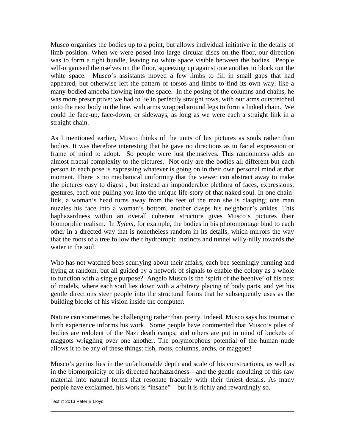Musco organises the bodies up to a point, but allows individual initiative in the details of limb position. When we were posed into large circular discs on the floor, our direction was to form a tight bundle, leaving no white space visible between the bodies. People self-organised themselves on the floor, squeezing up against one another to block out the white space. Musco's assistants moved a few limbs to fill in small gaps that had appeared, but otherwise left the pattern of torsos and limbs to find its own way, like a many-bodied amoeba flowing into the space. In the posing of the columns and chains, he was more prescriptive: we had to lie in perfectly straight rows, with our arms outstretched onto the next body in the line, with arms wrapped around legs to form a linked chain. We could lie face-up, face-down, or sideways, as long as we were each a straight link in a straight chain.

As I mentioned earlier, Musco thinks of the units of his pictures as souls rather than bodies. It was therefore interesting that he gave no directions as to facial expression or frame of mind to adopt. So people were just themselves. This randomness adds an almost fractal complexity to the pictures. Not only are the bodies all different but each person in each pose is expressing whatever is going on in their own personal mind at that moment. There is no mechanical uniformity that the viewer can abstract away to make the pictures easy to digest , but instead an imponderable plethora of faces, expressions, gestures, each one pulling you into the unique life-story of that naked soul. In one chainlink, a woman's head turns away from the feet of the man she is clasping; one man nuzzles his face into a woman's bottom, another clasps his neighbour's ankles. This haphazardness within an overall coherent structure gives Musco's pictures their biomorphic realism. In *Xylem*, for example, the bodies in his photomontage bind to each other in a directed way that is nonetheless random in its details, which mirrors the way that the roots of a tree follow their hydrotropic instincts and tunnel willy-nilly towards the water in the soil.

Who has not watched bees scurrying about their affairs, each bee seemingly running and flying at random, but all guided by a network of signals to enable the colony as a whole to function with a single purpose? Angelo Musco is the 'spirit of the beehive' of his nest of models, where each soul lies down with a arbitrary placing of body parts, and yet his gentle directions steer people into the structural forms that he subsequently uses as the building blocks of his vision inside the computer.

Nature can sometimes be challenging rather than pretty. Indeed, Musco says his traumatic birth experience informs his work. Some people have commented that Musco's piles of bodies are redolent of the Nazi death camps; and others are put in mind of buckets of maggots wriggling over one another. The polymorphous potential of the human nude allows it to be any of these things: fish, roots, columns, archs, or maggots!

Musco's genius lies in the unfathomable depth and scale of his constructions, as well as in the biomorphicity of his directed haphazardness—and the gentle moulding of this raw material into natural forms that resonate fractally with their tiniest details. As many people have exclaimed, his work is "insane"—but it is richly and rewardingly so.